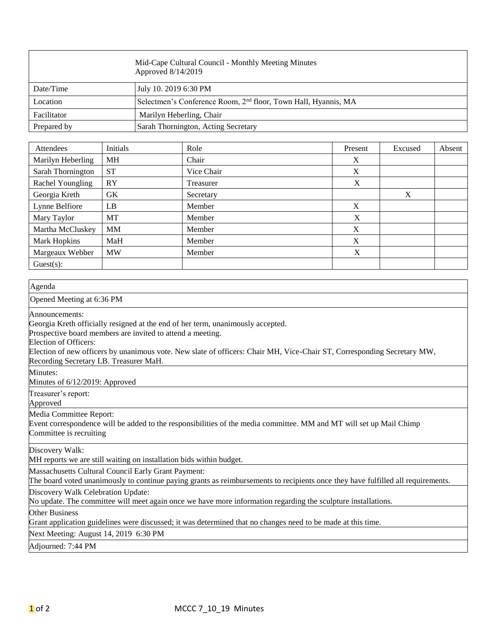|             | Mid-Cape Cultural Council - Monthly Meeting Minutes<br>Approved 8/14/2019  |
|-------------|----------------------------------------------------------------------------|
| Date/Time   | July 10. 2019 6:30 PM                                                      |
| Location    | Selectmen's Conference Room, 2 <sup>nd</sup> floor, Town Hall, Hyannis, MA |
| Facilitator | Marilyn Heberling, Chair                                                   |
| Prepared by | Sarah Thornington, Acting Secretary                                        |

| Attendees         | Initials  | Role       | Present | Excused | Absent |
|-------------------|-----------|------------|---------|---------|--------|
| Marilyn Heberling | MH        | Chair      | X       |         |        |
| Sarah Thornington | <b>ST</b> | Vice Chair | X       |         |        |
| Rachel Youngling  | RY        | Treasurer  | X       |         |        |
| Georgia Kreth     | GK        | Secretary  |         | X       |        |
| Lynne Belfiore    | LB        | Member     | X       |         |        |
| Mary Taylor       | МT        | Member     | X       |         |        |
| Martha McCluskey  | <b>MM</b> | Member     | X       |         |        |
| Mark Hopkins      | MaH       | Member     | X       |         |        |
| Margeaux Webber   | <b>MW</b> | Member     | X       |         |        |
| $Guest(s)$ :      |           |            |         |         |        |

| Agenda                                                                                                                                                                                                                                                                                                                                                        |
|---------------------------------------------------------------------------------------------------------------------------------------------------------------------------------------------------------------------------------------------------------------------------------------------------------------------------------------------------------------|
| Opened Meeting at 6:36 PM                                                                                                                                                                                                                                                                                                                                     |
| Announcements:<br>Georgia Kreth officially resigned at the end of her term, unanimously accepted.<br>Prospective board members are invited to attend a meeting.<br>Election of Officers:<br>Election of new officers by unanimous vote. New slate of officers: Chair MH, Vice-Chair ST, Corresponding Secretary MW,<br>Recording Secretary LB. Treasurer MaH. |
| Minutes:<br>Minutes of 6/12/2019: Approved                                                                                                                                                                                                                                                                                                                    |
| Treasurer's report:<br>Approved                                                                                                                                                                                                                                                                                                                               |
| Media Committee Report:<br>Event correspondence will be added to the responsibilities of the media committee. MM and MT will set up Mail Chimp<br>Committee is recruiting                                                                                                                                                                                     |
| Discovery Walk:<br>MH reports we are still waiting on installation bids within budget.                                                                                                                                                                                                                                                                        |
| Massachusetts Cultural Council Early Grant Payment:<br>The board voted unanimously to continue paying grants as reimbursements to recipients once they have fulfilled all requirements.                                                                                                                                                                       |
| Discovery Walk Celebration Update:<br>No update. The committee will meet again once we have more information regarding the sculpture installations.                                                                                                                                                                                                           |
| <b>Other Business</b><br>Grant application guidelines were discussed; it was determined that no changes need to be made at this time.                                                                                                                                                                                                                         |
| Next Meeting: August 14, 2019 6:30 PM                                                                                                                                                                                                                                                                                                                         |
| Adjourned: 7:44 PM                                                                                                                                                                                                                                                                                                                                            |